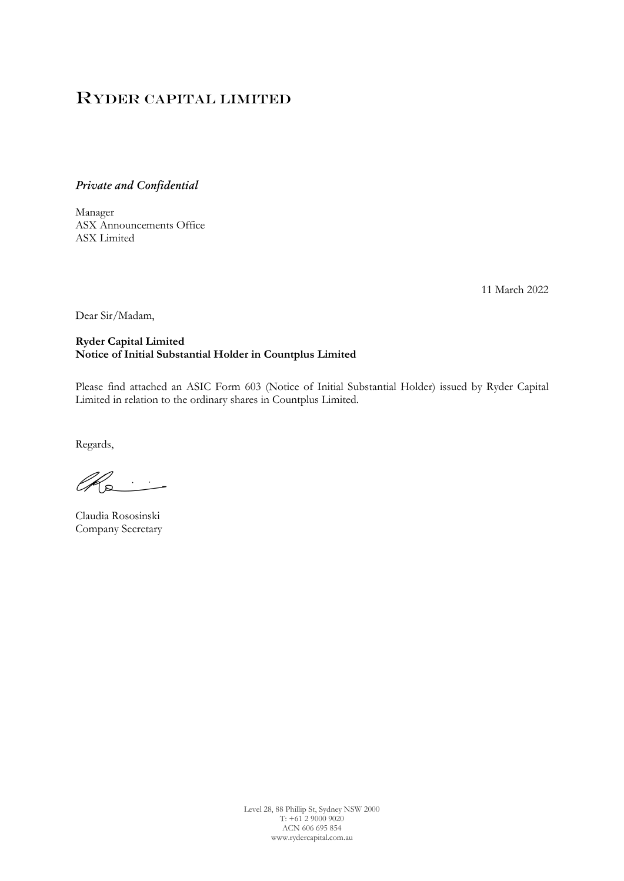# Ryder Capital Limited

*Private and Confidential*

Manager ASX Announcements Office ASX Limited

11 March 2022

Dear Sir/Madam,

# **Ryder Capital Limited Notice of Initial Substantial Holder in Countplus Limited**

Please find attached an ASIC Form 603 (Notice of Initial Substantial Holder) issued by Ryder Capital Limited in relation to the ordinary shares in Countplus Limited.

Regards,

 $\mathbb{Z}_{\infty}$ G

Claudia Rososinski Company Secretary

Level 28, 88 Phillip St, Sydney NSW 2000 T: +61 2 9000 9020 ACN 606 695 854 www.rydercapital.com.au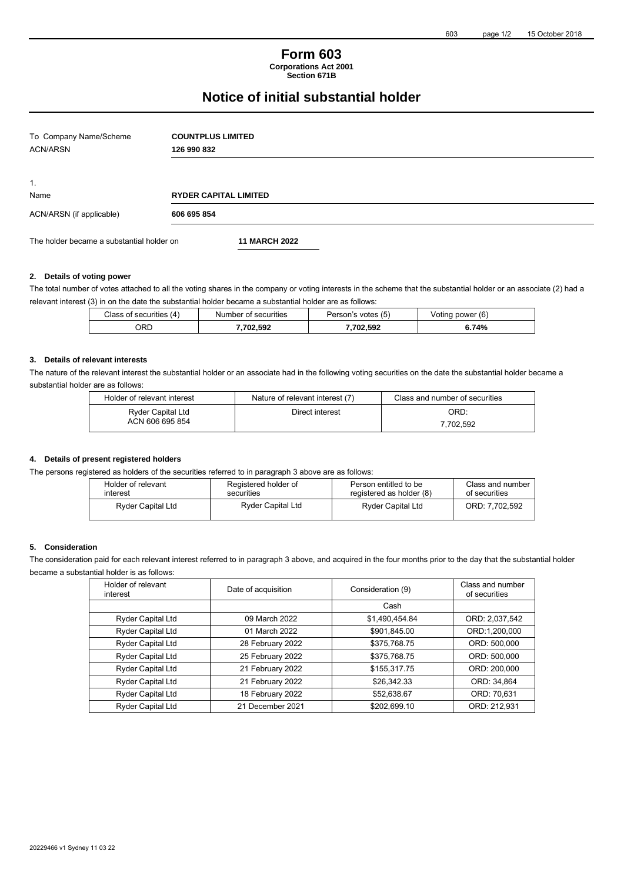## **Form 603 Corporations Act 2001**

**Section 671B**

# **Notice of initial substantial holder**

| To Company Name/Scheme<br><b>ACN/ARSN</b> | <b>COUNTPLUS LIMITED</b><br>126 990 832 |  |
|-------------------------------------------|-----------------------------------------|--|
| $\mathbf{1}$ .                            |                                         |  |
| Name                                      | <b>RYDER CAPITAL LIMITED</b>            |  |
| ACN/ARSN (if applicable)                  | 606 695 854                             |  |
| The holder became a substantial holder on | <b>11 MARCH 2022</b>                    |  |

#### **2. Details of voting power**

The total number of votes attached to all the voting shares in the company or voting interests in the scheme that the substantial holder or an associate (2) had a relevant interest (3) in on the date the substantial holder became a substantial holder are as follows:

| Class<br>; of securities<br>14 | securities<br>Number<br>nt | Person's<br>Votes (5) | (6)<br>power<br>otina/ |
|--------------------------------|----------------------------|-----------------------|------------------------|
| ORD                            | 702.592                    | .702.592              | 6.74%                  |

#### **3. Details of relevant interests**

The nature of the relevant interest the substantial holder or an associate had in the following voting securities on the date the substantial holder became a substantial holder are as follows:

| Holder of relevant interest                 | Nature of relevant interest (7) | Class and number of securities |
|---------------------------------------------|---------------------------------|--------------------------------|
| <b>Ryder Capital Ltd</b><br>ACN 606 695 854 | Direct interest                 | ORD:<br>7.702.592              |
|                                             |                                 |                                |

### **4. Details of present registered holders**

The persons registered as holders of the securities referred to in paragraph 3 above are as follows:

| Holder of relevant<br>interest | Registered holder of<br>securities | Person entitled to be<br>registered as holder (8) | Class and number<br>of securities |
|--------------------------------|------------------------------------|---------------------------------------------------|-----------------------------------|
| <b>Ryder Capital Ltd</b>       | <b>Ryder Capital Ltd</b>           | <b>Ryder Capital Ltd</b>                          | ORD: 7.702.592                    |

# **5. Consideration**

The consideration paid for each relevant interest referred to in paragraph 3 above, and acquired in the four months prior to the day that the substantial holder became a substantial holder is as follows:

| Holder of relevant<br>interest | Date of acquisition | Consideration (9) | Class and number<br>of securities |
|--------------------------------|---------------------|-------------------|-----------------------------------|
|                                |                     | Cash              |                                   |
| Ryder Capital Ltd              | 09 March 2022       | \$1,490,454.84    | ORD: 2,037,542                    |
| <b>Ryder Capital Ltd</b>       | 01 March 2022       | \$901,845.00      | ORD:1,200,000                     |
| <b>Ryder Capital Ltd</b>       | 28 February 2022    | \$375,768.75      | ORD: 500,000                      |
| Ryder Capital Ltd              | 25 February 2022    | \$375,768.75      | ORD: 500,000                      |
| Ryder Capital Ltd              | 21 February 2022    | \$155,317.75      | ORD: 200,000                      |
| <b>Ryder Capital Ltd</b>       | 21 February 2022    | \$26,342.33       | ORD: 34,864                       |
| <b>Ryder Capital Ltd</b>       | 18 February 2022    | \$52,638.67       | ORD: 70,631                       |
| <b>Ryder Capital Ltd</b>       | 21 December 2021    | \$202,699.10      | ORD: 212,931                      |